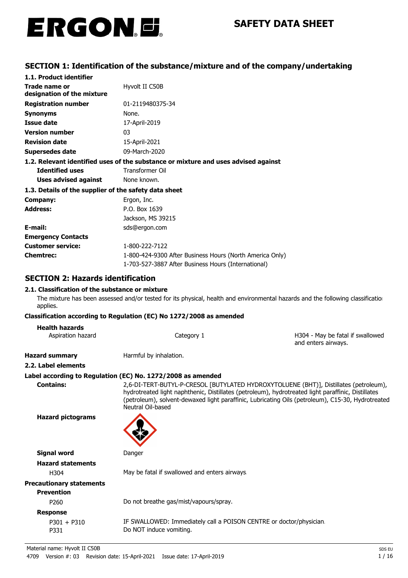

# **SECTION 1: Identification of the substance/mixture and of the company/undertaking**

| 1.1. Product identifier                               |                                                                                    |  |  |
|-------------------------------------------------------|------------------------------------------------------------------------------------|--|--|
| Trade name or                                         | Hyvolt II C50B                                                                     |  |  |
| designation of the mixture                            |                                                                                    |  |  |
| <b>Registration number</b>                            | 01-2119480375-34                                                                   |  |  |
| <b>Synonyms</b>                                       | None.                                                                              |  |  |
| Issue date                                            | 17-April-2019                                                                      |  |  |
| <b>Version number</b>                                 | 03                                                                                 |  |  |
| <b>Revision date</b>                                  | 15-April-2021                                                                      |  |  |
| Supersedes date                                       | 09-March-2020                                                                      |  |  |
|                                                       | 1.2. Relevant identified uses of the substance or mixture and uses advised against |  |  |
| <b>Identified uses</b>                                | <b>Transformer Oil</b>                                                             |  |  |
| Uses advised against                                  | None known.                                                                        |  |  |
| 1.3. Details of the supplier of the safety data sheet |                                                                                    |  |  |
| Company:                                              | Ergon, Inc.                                                                        |  |  |
| <b>Address:</b>                                       | P.O. Box 1639                                                                      |  |  |
|                                                       | Jackson, MS 39215                                                                  |  |  |
| E-mail:                                               | sds@ergon.com                                                                      |  |  |
| <b>Emergency Contacts</b>                             |                                                                                    |  |  |
| <b>Customer service:</b>                              | 1-800-222-7122                                                                     |  |  |
| <b>Chemtrec:</b>                                      | 1-800-424-9300 After Business Hours (North America Only)                           |  |  |
|                                                       | 1-703-527-3887 After Business Hours (International)                                |  |  |

# **SECTION 2: Hazards identification**

### **2.1. Classification of the substance or mixture**

The mixture has been assessed and/or tested for its physical, health and environmental hazards and the following classification applies.

#### **Classification according to Regulation (EC) No 1272/2008 as amended**

#### **Health hazards**

| Aspiration hazard | Category 1 | H304 - May be fatal if swallowed |
|-------------------|------------|----------------------------------|
|                   |            | and enters airways.              |

**Hazard summary Harmful by inhalation.** 

#### **2.2. Label elements**

### **Label according to Regulation (EC) No. 1272/2008 as amended**

**Contains:** 2,6-DI-TERT-BUTYL-P-CRESOL [BUTYLATED HYDROXYTOLUENE (BHT)], Distillates (petroleum), hydrotreated light naphthenic, Distillates (petroleum), hydrotreated light paraffinic, Distillates (petroleum), solvent-dewaxed light paraffinic, Lubricating Oils (petroleum), C15-30, Hydrotreated Neutral Oil-based

**Hazard pictograms**



**Signal word** Danger **Hazard statements** H304 May be fatal if swallowed and enters airways. **Precautionary statements Prevention** P260 Do not breathe gas/mist/vapours/spray.

# **Response**

P301 + P310 IF SWALLOWED: Immediately call a POISON CENTRE or doctor/physician. P331 Do NOT induce vomiting.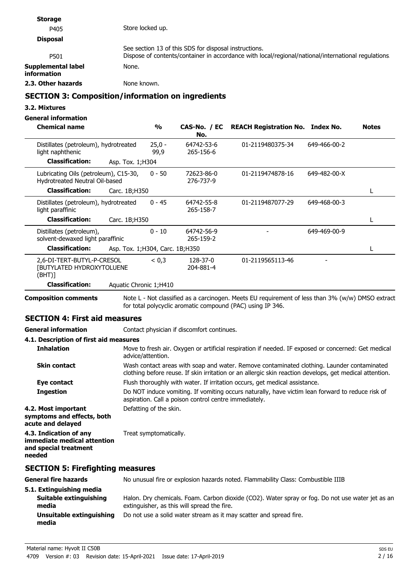| <b>Storage</b>                                                          |                   |                                                       |                                                                                                    |              |              |
|-------------------------------------------------------------------------|-------------------|-------------------------------------------------------|----------------------------------------------------------------------------------------------------|--------------|--------------|
| P405                                                                    | Store locked up.  |                                                       |                                                                                                    |              |              |
| <b>Disposal</b>                                                         |                   |                                                       |                                                                                                    |              |              |
| P501                                                                    |                   | See section 13 of this SDS for disposal instructions. | Dispose of contents/container in accordance with local/regional/national/international regulations |              |              |
| Supplemental label<br><b>information</b>                                | None.             |                                                       |                                                                                                    |              |              |
| 2.3. Other hazards                                                      | None known.       |                                                       |                                                                                                    |              |              |
| <b>SECTION 3: Composition/information on ingredients</b>                |                   |                                                       |                                                                                                    |              |              |
| 3.2. Mixtures                                                           |                   |                                                       |                                                                                                    |              |              |
| <b>General information</b>                                              |                   |                                                       |                                                                                                    |              |              |
| <b>Chemical name</b>                                                    | $\frac{0}{0}$     | CAS-No. / EC<br>No.                                   | <b>REACH Registration No. Index No.</b>                                                            |              | <b>Notes</b> |
| Distillates (petroleum), hydrotreated<br>light naphthenic               | $25,0 -$<br>99,9  | 64742-53-6<br>265-156-6                               | 01-2119480375-34                                                                                   | 649-466-00-2 |              |
| <b>Classification:</b>                                                  | Asp. Tox. 1; H304 |                                                       |                                                                                                    |              |              |
| Lubricating Oils (petroleum), C15-30,<br>Hydrotreated Neutral Oil-based | $0 - 50$          | 72623-86-0<br>276-737-9                               | 01-2119474878-16                                                                                   | 649-482-00-X |              |
| <b>Classification:</b>                                                  | Carc. 1B:H350     |                                                       |                                                                                                    |              |              |

**Classification:** Carc. 1B;H350 L

**Classification:** Asp. Tox. 1;H304, Carc. 1B;H350 **Limitation Limitation Limitation L** 

265-158-7

64742-56-9 265-159-2

204-881-4

for total polycyclic aromatic compound (PAC) using IP 346.

64742-55-8 01-2119487077-29

01-2119565113-46

Note L - Not classified as a carcinogen. Meets EU requirement of less than 3% (w/w) DMSO extract

Move to fresh air. Oxygen or artificial respiration if needed. IF exposed or concerned: Get medical

Wash contact areas with soap and water. Remove contaminated clothing. Launder contaminated clothing before reuse. If skin irritation or an allergic skin reaction develops, get medical attention.

Do NOT induce vomiting. If vomiting occurs naturally, have victim lean forward to reduce risk of

Distillates (petroleum), hydrotreated  $0 - 45$   $64742-55-8$   $01-2119487077-29$   $649-468-00-3$ 

Distillates (petroleum),  $0 - 10$  64742-56-9 - 649-469-00-9

0 - 45

 $0 - 10$ 

 $< 0.3$ 

light paraffinic

(BHT)]

**Composition comments**

**Inhalation**

**Skin contact**

**Ingestion**

**acute and delayed**

**needed**

**symptoms and effects, both**

**immediate medical attention and special treatment**

solvent-dewaxed light paraffinic

[BUTYLATED HYDROXYTOLUENE

**SECTION 4: First aid measures**

**4.1. Description of first aid measures**

**Classification:** Aquatic Chronic 1;H410

**4.2. Most important** Defatting of the skin.

**4.3. Indication of any** Treat symptomatically.

**SECTION 5: Firefighting measures**

 $2.6-DI-TERT-BUTYL-P-CRESOL  $< 0.3$  128-37-0$ 

**General information Contact physician if discomfort continues.** 

advice/attention.

**Eve contact** Flush thoroughly with water. If irritation occurs, get medical assistance.

aspiration. Call a poison control centre immediately.

| General fire hazards              | No unusual fire or explosion hazards noted. Flammability Class: Combustible IIIB                                                                |
|-----------------------------------|-------------------------------------------------------------------------------------------------------------------------------------------------|
| 5.1. Extinguishing media          |                                                                                                                                                 |
| Suitable extinguishing<br>media   | Halon. Dry chemicals. Foam. Carbon dioxide (CO2). Water spray or fog. Do not use water jet as an<br>extinguisher, as this will spread the fire. |
| Unsuitable extinguishing<br>media | Do not use a solid water stream as it may scatter and spread fire.                                                                              |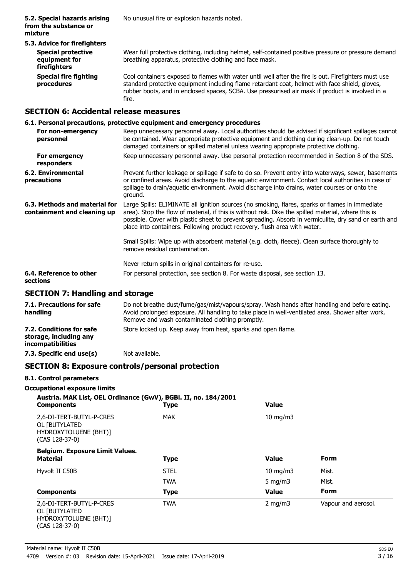| 5.3. Advice for firefighters                               |                                                                                                                                                                                                                                                                                                            |
|------------------------------------------------------------|------------------------------------------------------------------------------------------------------------------------------------------------------------------------------------------------------------------------------------------------------------------------------------------------------------|
| <b>Special protective</b><br>equipment for<br>firefighters | Wear full protective clothing, including helmet, self-contained positive pressure or pressure demand<br>breathing apparatus, protective clothing and face mask.                                                                                                                                            |
| <b>Special fire fighting</b><br>procedures                 | Cool containers exposed to flames with water until well after the fire is out. Firefighters must use<br>standard protective equipment including flame retardant coat, helmet with face shield, gloves,<br>rubber boots, and in enclosed spaces, SCBA. Use pressurised air mask if product is involved in a |

# **SECTION 6: Accidental release measures**

### **6.1. Personal precautions, protective equipment and emergency procedures**

fire.

| For non-emergency<br>personnel                               | Keep unnecessary personnel away. Local authorities should be advised if significant spillages cannot<br>be contained. Wear appropriate protective equipment and clothing during clean-up. Do not touch<br>damaged containers or spilled material unless wearing appropriate protective clothing.                                                                                             |
|--------------------------------------------------------------|----------------------------------------------------------------------------------------------------------------------------------------------------------------------------------------------------------------------------------------------------------------------------------------------------------------------------------------------------------------------------------------------|
| For emergency<br>responders                                  | Keep unnecessary personnel away. Use personal protection recommended in Section 8 of the SDS.                                                                                                                                                                                                                                                                                                |
| 6.2. Environmental<br>precautions                            | Prevent further leakage or spillage if safe to do so. Prevent entry into waterways, sewer, basements<br>or confined areas. Avoid discharge to the aquatic environment. Contact local authorities in case of<br>spillage to drain/aquatic environment. Avoid discharge into drains, water courses or onto the<br>ground.                                                                      |
| 6.3. Methods and material for<br>containment and cleaning up | Large Spills: ELIMINATE all ignition sources (no smoking, flares, sparks or flames in immediate<br>area). Stop the flow of material, if this is without risk. Dike the spilled material, where this is<br>possible. Cover with plastic sheet to prevent spreading. Absorb in vermiculite, dry sand or earth and<br>place into containers. Following product recovery, flush area with water. |
|                                                              | Small Spills: Wipe up with absorbent material (e.g. cloth, fleece). Clean surface thoroughly to<br>remove residual contamination.                                                                                                                                                                                                                                                            |
|                                                              | Never return spills in original containers for re-use.                                                                                                                                                                                                                                                                                                                                       |
| 6.4. Reference to other<br>sections                          | For personal protection, see section 8. For waste disposal, see section 13.                                                                                                                                                                                                                                                                                                                  |
|                                                              |                                                                                                                                                                                                                                                                                                                                                                                              |

# **SECTION 7: Handling and storage**

| 7.1. Precautions for safe<br>handling                                          | Do not breathe dust/fume/gas/mist/vapours/spray. Wash hands after handling and before eating.<br>Avoid prolonged exposure. All handling to take place in well-ventilated area. Shower after work.<br>Remove and wash contaminated clothing promptly. |
|--------------------------------------------------------------------------------|------------------------------------------------------------------------------------------------------------------------------------------------------------------------------------------------------------------------------------------------------|
| 7.2. Conditions for safe<br>storage, including any<br><i>incompatibilities</i> | Store locked up. Keep away from heat, sparks and open flame.                                                                                                                                                                                         |
| 7.3. Specific end use(s)                                                       | Not available.                                                                                                                                                                                                                                       |

# **SECTION 8: Exposure controls/personal protection**

### **8.1. Control parameters**

# **Occupational exposure limits**

| Austria. MAK List, OEL Ordinance (GwV), BGBI. II, no. 184/2001<br><b>Components</b>    | <b>Type</b> | Value         |                     |
|----------------------------------------------------------------------------------------|-------------|---------------|---------------------|
| 2,6-DI-TERT-BUTYL-P-CRES<br>OL [BUTYLATED]<br>HYDROXYTOLUENE (BHT)]<br>(CAS 128-37-0)  | <b>MAK</b>  | $10$ mg/m $3$ |                     |
| <b>Belgium. Exposure Limit Values.</b>                                                 |             |               |                     |
| <b>Material</b>                                                                        | <b>Type</b> | <b>Value</b>  | <b>Form</b>         |
| Hyvolt II C50B                                                                         | <b>STEL</b> | $10$ mg/m $3$ | Mist.               |
|                                                                                        | <b>TWA</b>  | 5 mg/m $3$    | Mist.               |
| <b>Components</b>                                                                      | <b>Type</b> | <b>Value</b>  | <b>Form</b>         |
| 2,6-DI-TERT-BUTYL-P-CRES<br>OL [BUTYLATED<br>HYDROXYTOLUENE (BHT)]<br>$(CAS 128-37-0)$ | <b>TWA</b>  | 2 mg/m $3$    | Vapour and aerosol. |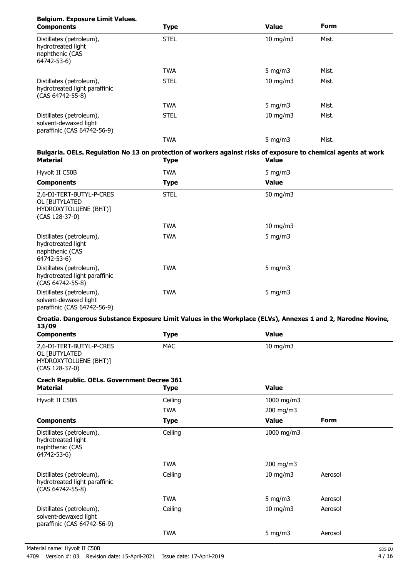# **Belgium. Exposure Limit Values.**

| <b>Components</b>                                                                | <b>Type</b> | <b>Value</b>      | <b>Form</b> |  |
|----------------------------------------------------------------------------------|-------------|-------------------|-------------|--|
| Distillates (petroleum),<br>hydrotreated light<br>naphthenic (CAS<br>64742-53-6) | <b>STEL</b> | $10$ mg/m $3$     | Mist.       |  |
|                                                                                  | <b>TWA</b>  | 5 mg/m $3$        | Mist.       |  |
| Distillates (petroleum),<br>hydrotreated light paraffinic<br>(CAS 64742-55-8)    | <b>STEL</b> | $10 \text{ mg/m}$ | Mist.       |  |
|                                                                                  | <b>TWA</b>  | 5 $mq/m3$         | Mist.       |  |
| Distillates (petroleum),<br>solvent-dewaxed light<br>paraffinic (CAS 64742-56-9) | <b>STEL</b> | $10 \text{ mg/m}$ | Mist.       |  |
|                                                                                  | <b>TWA</b>  | 5 $mq/m3$         | Mist.       |  |

### **Bulgaria. OELs. Regulation No 13 on protection of workers against risks of exposure to chemical agents at work Material Type Value**

| .                                                                                    | .7 <sub>P</sub> |               |  |
|--------------------------------------------------------------------------------------|-----------------|---------------|--|
| Hyvolt II C50B                                                                       | <b>TWA</b>      | 5 mg/m $3$    |  |
| <b>Components</b>                                                                    | <b>Type</b>     | <b>Value</b>  |  |
| 2,6-DI-TERT-BUTYL-P-CRES<br>OL [BUTYLATED<br>HYDROXYTOLUENE (BHT)]<br>(CAS 128-37-0) | <b>STEL</b>     | 50 mg/m3      |  |
|                                                                                      | TWA             | $10$ mg/m $3$ |  |
| Distillates (petroleum),<br>hydrotreated light<br>naphthenic (CAS<br>64742-53-6)     | TWA             | 5 mg/m $3$    |  |
| Distillates (petroleum),<br>hydrotreated light paraffinic<br>$(CAS 64742-55-8)$      | TWA             | 5 mg/m $3$    |  |
| Distillates (petroleum),<br>solvent-dewaxed light<br>paraffinic (CAS 64742-56-9)     | TWA             | 5 mg/m $3$    |  |

#### **Croatia. Dangerous Substance Exposure Limit Values in the Workplace (ELVs), Annexes 1 and 2, Narodne Novine, 13/09**

| <b>Components</b>                                                                    | <b>Type</b> | <b>Value</b> |             |  |
|--------------------------------------------------------------------------------------|-------------|--------------|-------------|--|
| 2,6-DI-TERT-BUTYL-P-CRES<br>OL [BUTYLATED<br>HYDROXYTOLUENE (BHT)]<br>(CAS 128-37-0) | <b>MAC</b>  | 10 mg/m3     |             |  |
| <b>Czech Republic. OELs. Government Decree 361</b>                                   |             |              |             |  |
| <b>Material</b>                                                                      | <b>Type</b> | <b>Value</b> |             |  |
| Hyvolt II C50B                                                                       | Ceiling     | 1000 mg/m3   |             |  |
|                                                                                      | <b>TWA</b>  | 200 mg/m3    |             |  |
| <b>Components</b>                                                                    | <b>Type</b> | <b>Value</b> | <b>Form</b> |  |
| Distillates (petroleum),<br>hydrotreated light<br>naphthenic (CAS<br>64742-53-6)     | Ceiling     | 1000 mg/m3   |             |  |
|                                                                                      | <b>TWA</b>  | 200 mg/m3    |             |  |
| Distillates (petroleum),<br>hydrotreated light paraffinic<br>(CAS 64742-55-8)        | Ceiling     | 10 mg/m3     | Aerosol     |  |
|                                                                                      | <b>TWA</b>  | 5 mg/m $3$   | Aerosol     |  |
| Distillates (petroleum),<br>solvent-dewaxed light<br>paraffinic (CAS 64742-56-9)     | Ceiling     | 10 mg/m3     | Aerosol     |  |
|                                                                                      | <b>TWA</b>  | 5 mg/m $3$   | Aerosol     |  |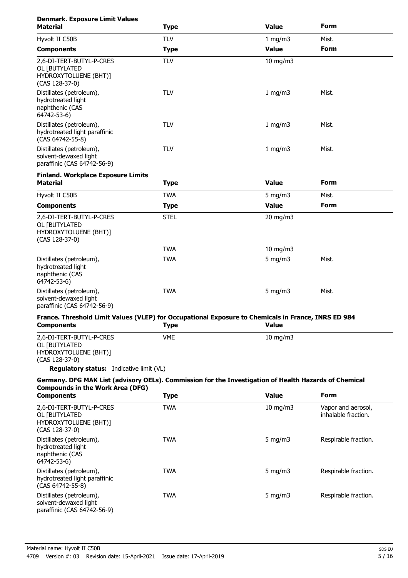| <b>Denmark. Exposure Limit Values</b><br><b>Material</b>                                                                 | <b>Type</b> | <b>Value</b>  | Form                                      |
|--------------------------------------------------------------------------------------------------------------------------|-------------|---------------|-------------------------------------------|
| Hyvolt II C50B                                                                                                           | <b>TLV</b>  | 1 mg/m3       | Mist.                                     |
| <b>Components</b>                                                                                                        | <b>Type</b> | <b>Value</b>  | Form                                      |
| 2,6-DI-TERT-BUTYL-P-CRES<br>OL [BUTYLATED<br>HYDROXYTOLUENE (BHT)]<br>(CAS 128-37-0)                                     | <b>TLV</b>  | $10$ mg/m $3$ |                                           |
| Distillates (petroleum),<br>hydrotreated light<br>naphthenic (CAS<br>64742-53-6)                                         | <b>TLV</b>  | 1 mg/m3       | Mist.                                     |
| Distillates (petroleum),<br>hydrotreated light paraffinic<br>(CAS 64742-55-8)                                            | <b>TLV</b>  | 1 mg/m3       | Mist.                                     |
| Distillates (petroleum),<br>solvent-dewaxed light<br>paraffinic (CAS 64742-56-9)                                         | <b>TLV</b>  | 1 mg/m3       | Mist.                                     |
| <b>Finland. Workplace Exposure Limits</b><br><b>Material</b>                                                             | <b>Type</b> | <b>Value</b>  | <b>Form</b>                               |
| Hyvolt II C50B                                                                                                           | <b>TWA</b>  | 5 mg/m $3$    | Mist.                                     |
| <b>Components</b>                                                                                                        | <b>Type</b> | <b>Value</b>  | <b>Form</b>                               |
| 2,6-DI-TERT-BUTYL-P-CRES<br>OL [BUTYLATED<br>HYDROXYTOLUENE (BHT)]<br>$(CAS 128-37-0)$                                   | <b>STEL</b> | 20 mg/m3      |                                           |
|                                                                                                                          | <b>TWA</b>  | 10 mg/m $3$   |                                           |
| Distillates (petroleum),<br>hydrotreated light<br>naphthenic (CAS<br>64742-53-6)                                         | <b>TWA</b>  | 5 mg/m $3$    | Mist.                                     |
| Distillates (petroleum),<br>solvent-dewaxed light<br>paraffinic (CAS 64742-56-9)                                         | <b>TWA</b>  | 5 mg/m $3$    | Mist.                                     |
| France. Threshold Limit Values (VLEP) for Occupational Exposure to Chemicals in France, INRS ED 984<br><b>Components</b> | <b>Type</b> | <b>Value</b>  |                                           |
| 2,6-DI-TERT-BUTYL-P-CRES<br>OL [BUTYLATED<br>HYDROXYTOLUENE (BHT)]<br>(CAS 128-37-0)                                     | <b>VME</b>  | $10$ mg/m $3$ |                                           |
| Regulatory status: Indicative limit (VL)                                                                                 |             |               |                                           |
| Germany. DFG MAK List (advisory OELs). Commission for the Investigation of Health Hazards of Chemical                    |             |               |                                           |
| <b>Compounds in the Work Area (DFG)</b><br><b>Components</b>                                                             | <b>Type</b> | <b>Value</b>  | <b>Form</b>                               |
| 2,6-DI-TERT-BUTYL-P-CRES<br>OL [BUTYLATED<br>HYDROXYTOLUENE (BHT)]<br>$(CAS 128-37-0)$                                   | <b>TWA</b>  | $10$ mg/m $3$ | Vapor and aerosol,<br>inhalable fraction. |
| Distillates (petroleum),<br>hydrotreated light<br>naphthenic (CAS<br>64742-53-6)                                         | <b>TWA</b>  | 5 mg/m $3$    | Respirable fraction.                      |
| Distillates (petroleum),<br>hydrotreated light paraffinic<br>(CAS 64742-55-8)                                            | <b>TWA</b>  | 5 mg/m $3$    | Respirable fraction.                      |
| Distillates (petroleum),<br>solvent-dewaxed light<br>paraffinic (CAS 64742-56-9)                                         | <b>TWA</b>  | 5 mg/m $3$    | Respirable fraction.                      |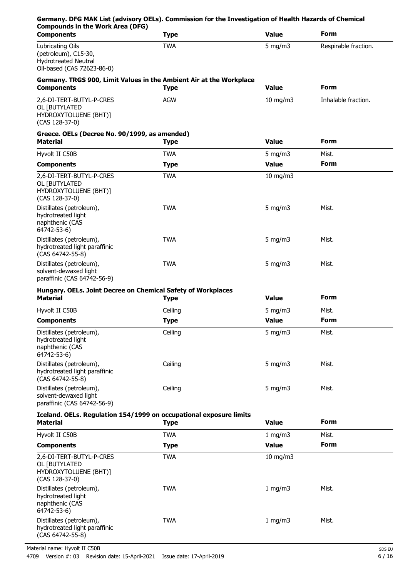| Germany. DFG MAK List (advisory OELs). Commission for the Investigation of Health Hazards of Chemical<br><b>Compounds in the Work Area (DFG)</b> |             |               |                      |
|--------------------------------------------------------------------------------------------------------------------------------------------------|-------------|---------------|----------------------|
| <b>Components</b>                                                                                                                                | <b>Type</b> | <b>Value</b>  | <b>Form</b>          |
| Lubricating Oils<br>(petroleum), C15-30,<br><b>Hydrotreated Neutral</b><br>Oil-based (CAS 72623-86-0)                                            | <b>TWA</b>  | 5 mg/m $3$    | Respirable fraction. |
| Germany. TRGS 900, Limit Values in the Ambient Air at the Workplace                                                                              |             |               |                      |
| <b>Components</b>                                                                                                                                | <b>Type</b> | <b>Value</b>  | <b>Form</b>          |
| 2,6-DI-TERT-BUTYL-P-CRES<br>OL [BUTYLATED<br>HYDROXYTOLUENE (BHT)]<br>(CAS 128-37-0)                                                             | <b>AGW</b>  | 10 mg/m3      | Inhalable fraction.  |
| Greece. OELs (Decree No. 90/1999, as amended)<br><b>Material</b>                                                                                 | <b>Type</b> | <b>Value</b>  | <b>Form</b>          |
| Hyvolt II C50B                                                                                                                                   | <b>TWA</b>  | 5 mg/m $3$    | Mist.                |
| <b>Components</b>                                                                                                                                | <b>Type</b> | <b>Value</b>  | <b>Form</b>          |
| 2,6-DI-TERT-BUTYL-P-CRES<br>OL [BUTYLATED<br>HYDROXYTOLUENE (BHT)]<br>$(CAS 128-37-0)$                                                           | <b>TWA</b>  | $10$ mg/m $3$ |                      |
| Distillates (petroleum),<br>hydrotreated light<br>naphthenic (CAS<br>64742-53-6)                                                                 | <b>TWA</b>  | 5 mg/m $3$    | Mist.                |
| Distillates (petroleum),<br>hydrotreated light paraffinic<br>(CAS 64742-55-8)                                                                    | <b>TWA</b>  | $5$ mg/m $3$  | Mist.                |
| Distillates (petroleum),<br>solvent-dewaxed light<br>paraffinic (CAS 64742-56-9)                                                                 | <b>TWA</b>  | $5$ mg/m $3$  | Mist.                |
| Hungary. OELs. Joint Decree on Chemical Safety of Workplaces<br><b>Material</b>                                                                  | <b>Type</b> | <b>Value</b>  | <b>Form</b>          |
| Hyvolt II C50B                                                                                                                                   | Ceiling     | 5 mg/m $3$    | Mist.                |
| <b>Components</b>                                                                                                                                | <b>Type</b> | <b>Value</b>  | <b>Form</b>          |
| Distillates (petroleum),<br>hydrotreated light<br>naphthenic (CAS<br>64742-53-6)                                                                 | Ceiling     | 5 mg/m $3$    | Mist.                |
| Distillates (petroleum),<br>hydrotreated light paraffinic<br>(CAS 64742-55-8)                                                                    | Ceiling     | 5 mg/m $3$    | Mist.                |
| Distillates (petroleum),<br>solvent-dewaxed light<br>paraffinic (CAS 64742-56-9)                                                                 | Ceiling     | 5 mg/m $3$    | Mist.                |
| Iceland. OELs. Regulation 154/1999 on occupational exposure limits<br><b>Material</b>                                                            | <b>Type</b> | <b>Value</b>  | <b>Form</b>          |
| Hyvolt II C50B                                                                                                                                   | <b>TWA</b>  | 1 mg/m3       | Mist.                |
| <b>Components</b>                                                                                                                                | <b>Type</b> | <b>Value</b>  | <b>Form</b>          |
| 2,6-DI-TERT-BUTYL-P-CRES<br>OL [BUTYLATED<br>HYDROXYTOLUENE (BHT)]<br>(CAS 128-37-0)                                                             | <b>TWA</b>  | 10 mg/m3      |                      |
| Distillates (petroleum),<br>hydrotreated light<br>naphthenic (CAS<br>64742-53-6)                                                                 | <b>TWA</b>  | 1 mg/m3       | Mist.                |
| Distillates (petroleum),<br>hydrotreated light paraffinic<br>(CAS 64742-55-8)                                                                    | <b>TWA</b>  | 1 mg/m3       | Mist.                |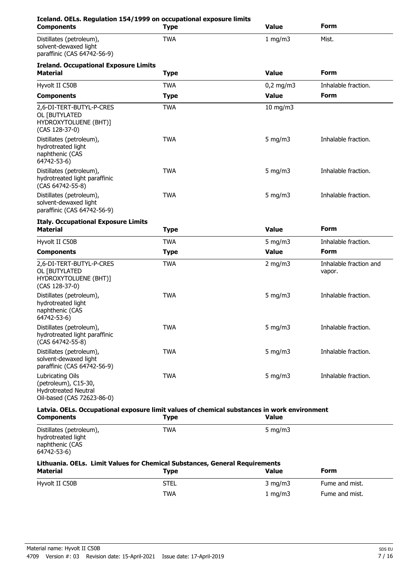| Iceland. OELs. Regulation 154/1999 on occupational exposure limits<br><b>Components</b>                          | Type        | <b>Value</b>  | <b>Form</b>                      |
|------------------------------------------------------------------------------------------------------------------|-------------|---------------|----------------------------------|
| Distillates (petroleum),<br>solvent-dewaxed light<br>paraffinic (CAS 64742-56-9)                                 | <b>TWA</b>  | 1 mg/m3       | Mist.                            |
| <b>Ireland. Occupational Exposure Limits</b><br><b>Material</b>                                                  | <b>Type</b> | <b>Value</b>  | <b>Form</b>                      |
| Hyvolt II C50B                                                                                                   | <b>TWA</b>  | $0,2$ mg/m3   | Inhalable fraction.              |
| <b>Components</b>                                                                                                | <b>Type</b> | <b>Value</b>  | <b>Form</b>                      |
| 2,6-DI-TERT-BUTYL-P-CRES<br>OL [BUTYLATED<br>HYDROXYTOLUENE (BHT)]<br>$(CAS 128-37-0)$                           | <b>TWA</b>  | $10$ mg/m $3$ |                                  |
| Distillates (petroleum),<br>hydrotreated light<br>naphthenic (CAS<br>64742-53-6)                                 | <b>TWA</b>  | 5 mg/m $3$    | Inhalable fraction.              |
| Distillates (petroleum),<br>hydrotreated light paraffinic<br>(CAS 64742-55-8)                                    | <b>TWA</b>  | 5 mg/m $3$    | Inhalable fraction.              |
| Distillates (petroleum),<br>solvent-dewaxed light<br>paraffinic (CAS 64742-56-9)                                 | <b>TWA</b>  | 5 mg/m $3$    | Inhalable fraction.              |
| <b>Italy. Occupational Exposure Limits</b><br><b>Material</b>                                                    | <b>Type</b> | <b>Value</b>  | <b>Form</b>                      |
| Hyvolt II C50B                                                                                                   | <b>TWA</b>  | 5 mg/m $3$    | Inhalable fraction.              |
| <b>Components</b>                                                                                                | <b>Type</b> | <b>Value</b>  | <b>Form</b>                      |
| 2,6-DI-TERT-BUTYL-P-CRES<br>OL [BUTYLATED<br>HYDROXYTOLUENE (BHT)]<br>(CAS 128-37-0)                             | <b>TWA</b>  | 2 mg/m $3$    | Inhalable fraction and<br>vapor. |
| Distillates (petroleum),<br>hydrotreated light<br>naphthenic (CAS<br>64742-53-6)                                 | <b>TWA</b>  | 5 mg/m $3$    | Inhalable fraction.              |
| Distillates (petroleum),<br>hydrotreated light paraffinic<br>(CAS 64742-55-8)                                    | <b>TWA</b>  | 5 mg/m $3$    | Inhalable fraction.              |
| Distillates (petroleum),<br>solvent-dewaxed light<br>paraffinic (CAS 64742-56-9)                                 | <b>TWA</b>  | 5 mg/m $3$    | Inhalable fraction.              |
| Lubricating Oils<br>(petroleum), C15-30,<br><b>Hydrotreated Neutral</b><br>Oil-based (CAS 72623-86-0)            | <b>TWA</b>  | $5$ mg/m $3$  | Inhalable fraction.              |
| Latvia. OELs. Occupational exposure limit values of chemical substances in work environment<br><b>Components</b> | <b>Type</b> | <b>Value</b>  |                                  |
| Distillates (petroleum),<br>hydrotreated light<br>naphthenic (CAS<br>64742-53-6)                                 | <b>TWA</b>  | 5 mg/m $3$    |                                  |
| Lithuania. OELs. Limit Values for Chemical Substances, General Requirements<br><b>Material</b>                   | <b>Type</b> | <b>Value</b>  | <b>Form</b>                      |
| Hyvolt II C50B                                                                                                   | <b>STEL</b> | $3$ mg/m $3$  | Fume and mist.                   |
|                                                                                                                  | <b>TWA</b>  | $1$ mg/m $3$  | Fume and mist.                   |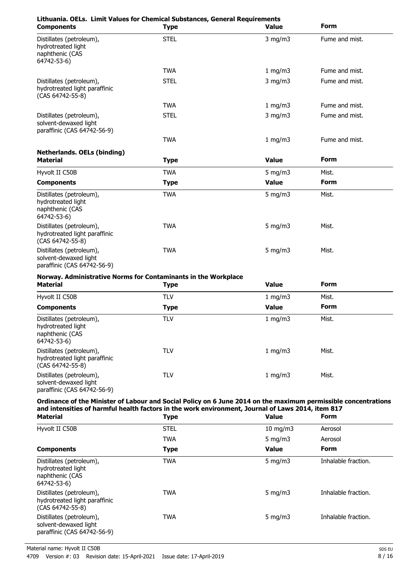| Lithuania. OELs. Limit Values for Chemical Substances, General Requirements<br><b>Components</b>                                                                                                                                       | <b>Type</b> | <b>Value</b> | Form           |
|----------------------------------------------------------------------------------------------------------------------------------------------------------------------------------------------------------------------------------------|-------------|--------------|----------------|
| Distillates (petroleum),<br>hydrotreated light<br>naphthenic (CAS<br>64742-53-6)                                                                                                                                                       | <b>STEL</b> | $3$ mg/m $3$ | Fume and mist. |
|                                                                                                                                                                                                                                        | <b>TWA</b>  | 1 mg/m3      | Fume and mist. |
| Distillates (petroleum),<br>hydrotreated light paraffinic<br>(CAS 64742-55-8)                                                                                                                                                          | <b>STEL</b> | $3$ mg/m $3$ | Fume and mist. |
|                                                                                                                                                                                                                                        | <b>TWA</b>  | 1 mg/m3      | Fume and mist. |
| Distillates (petroleum),<br>solvent-dewaxed light<br>paraffinic (CAS 64742-56-9)                                                                                                                                                       | <b>STEL</b> | $3$ mg/m $3$ | Fume and mist. |
|                                                                                                                                                                                                                                        | <b>TWA</b>  | 1 mg/m3      | Fume and mist. |
| <b>Netherlands. OELs (binding)</b>                                                                                                                                                                                                     |             |              |                |
| <b>Material</b>                                                                                                                                                                                                                        | <b>Type</b> | <b>Value</b> | Form           |
| Hyvolt II C50B                                                                                                                                                                                                                         | <b>TWA</b>  | $5$ mg/m $3$ | Mist.          |
| <b>Components</b>                                                                                                                                                                                                                      | <b>Type</b> | <b>Value</b> | <b>Form</b>    |
| Distillates (petroleum),<br>hydrotreated light<br>naphthenic (CAS<br>64742-53-6)                                                                                                                                                       | <b>TWA</b>  | 5 mg/m $3$   | Mist.          |
| Distillates (petroleum),<br>hydrotreated light paraffinic<br>(CAS 64742-55-8)                                                                                                                                                          | <b>TWA</b>  | 5 mg/m $3$   | Mist.          |
| Distillates (petroleum),<br>solvent-dewaxed light<br>paraffinic (CAS 64742-56-9)                                                                                                                                                       | <b>TWA</b>  | 5 mg/m $3$   | Mist.          |
| Norway. Administrative Norms for Contaminants in the Workplace<br><b>Material</b>                                                                                                                                                      | <b>Type</b> | <b>Value</b> | <b>Form</b>    |
| Hyvolt II C50B                                                                                                                                                                                                                         | <b>TLV</b>  | 1 mg/m3      | Mist.          |
| <b>Components</b>                                                                                                                                                                                                                      | <b>Type</b> | <b>Value</b> | <b>Form</b>    |
| Distillates (petroleum),<br>hydrotreated light<br>naphthenic (CAS<br>64742-53-6)                                                                                                                                                       | <b>TLV</b>  | 1 mg/m3      | Mist.          |
| Distillates (petroleum),<br>hydrotreated light paraffinic<br>(CAS 64742-55-8)                                                                                                                                                          | <b>TLV</b>  | 1 mg/m3      | Mist.          |
| Distillates (petroleum),<br>solvent-dewaxed light<br>paraffinic (CAS 64742-56-9)                                                                                                                                                       | <b>TLV</b>  | 1 mg/m3      | Mist.          |
| Ordinance of the Minister of Labour and Social Policy on 6 June 2014 on the maximum permissible concentrations<br>and intensities of harmful health factors in the work environment, Journal of Laws 2014, item 817<br><b>Material</b> | <b>Type</b> | <b>Value</b> | Form           |
|                                                                                                                                                                                                                                        |             |              |                |

| Hyvolt II C50B                                                                   | <b>STEL</b> | $10$ mg/m $3$ | Aerosol             |
|----------------------------------------------------------------------------------|-------------|---------------|---------------------|
|                                                                                  | <b>TWA</b>  | 5 $mq/m3$     | Aerosol             |
| <b>Components</b>                                                                | Type        | <b>Value</b>  | <b>Form</b>         |
| Distillates (petroleum),<br>hydrotreated light<br>naphthenic (CAS<br>64742-53-6) | <b>TWA</b>  | 5 mg/m $3$    | Inhalable fraction. |
| Distillates (petroleum),<br>hydrotreated light paraffinic<br>(CAS 64742-55-8)    | <b>TWA</b>  | 5 $mq/m3$     | Inhalable fraction. |
| Distillates (petroleum),<br>solvent-dewaxed light<br>paraffinic (CAS 64742-56-9) | <b>TWA</b>  | 5 $mq/m3$     | Inhalable fraction. |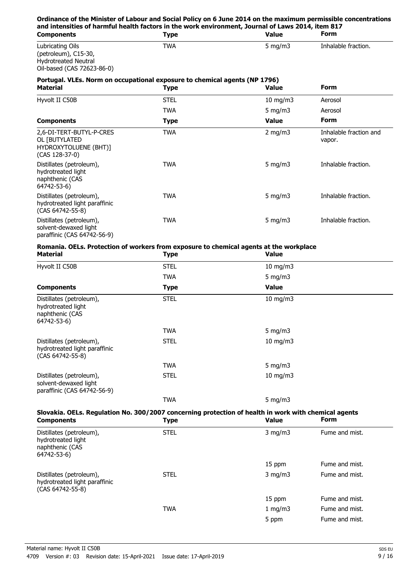| Ordinance of the Minister of Labour and Social Policy on 6 June 2014 on the maximum permissible concentrations<br>and intensities of harmful health factors in the work environment, Journal of Laws 2014, item 817 |             |                   |                                  |
|---------------------------------------------------------------------------------------------------------------------------------------------------------------------------------------------------------------------|-------------|-------------------|----------------------------------|
| <b>Components</b>                                                                                                                                                                                                   | <b>Type</b> | <b>Value</b>      | Form                             |
| Lubricating Oils<br>(petroleum), C15-30,<br><b>Hydrotreated Neutral</b><br>Oil-based (CAS 72623-86-0)                                                                                                               | <b>TWA</b>  | 5 $mq/m3$         | Inhalable fraction.              |
| Portugal. VLEs. Norm on occupational exposure to chemical agents (NP 1796)<br><b>Material</b>                                                                                                                       | <b>Type</b> | <b>Value</b>      | Form                             |
| Hyvolt II C50B                                                                                                                                                                                                      | <b>STEL</b> | $10 \text{ mg/m}$ | Aerosol                          |
|                                                                                                                                                                                                                     | <b>TWA</b>  | $5 \text{ mg/m}$  | Aerosol                          |
| <b>Components</b>                                                                                                                                                                                                   | <b>Type</b> | <b>Value</b>      | <b>Form</b>                      |
| 2,6-DI-TERT-BUTYL-P-CRES<br>OL <b>FBUTYLATED</b>                                                                                                                                                                    | <b>TWA</b>  | $2 \text{ mg/m}$  | Inhalable fraction and<br>vapor. |

Distillates (petroleum), TWA TWA 5 mg/m3 Inhalable fraction.

Distillates (petroleum), TWA TWA 5 mg/m3 Inhalable fraction.

Distillates (petroleum), TWA TWA 5 mg/m3 Inhalable fraction.

# **Romania. OELs. Protection of workers from exposure to chemical agents at the workplace**

HYDROXYTOLUENE (BHT)]

hydrotreated light paraffinic

(CAS 128-37-0)

hydrotreated light naphthenic (CAS 64742-53-6)

(CAS 64742-55-8)

solvent-dewaxed light paraffinic (CAS 64742-56-9)

| <b>Material</b>                                                                  | <b>Type</b> | <b>Value</b>  |  |
|----------------------------------------------------------------------------------|-------------|---------------|--|
| Hyvolt II C50B                                                                   | <b>STEL</b> | $10$ mg/m $3$ |  |
|                                                                                  | TWA         | 5 mg/m $3$    |  |
| <b>Components</b>                                                                | <b>Type</b> | <b>Value</b>  |  |
| Distillates (petroleum),<br>hydrotreated light<br>naphthenic (CAS<br>64742-53-6) | <b>STEL</b> | 10 mg/m $3$   |  |
|                                                                                  | TWA         | 5 mg/m $3$    |  |
| Distillates (petroleum),<br>hydrotreated light paraffinic<br>(CAS 64742-55-8)    | <b>STEL</b> | $10$ mg/m $3$ |  |
|                                                                                  | TWA         | 5 mg/m $3$    |  |
| Distillates (petroleum),<br>solvent-dewaxed light<br>paraffinic (CAS 64742-56-9) | <b>STEL</b> | $10$ mg/m $3$ |  |
|                                                                                  | <b>TWA</b>  | 5 mg/m $3$    |  |

### **Slovakia. OELs. Regulation No. 300/2007 concerning protection of health in work with chemical agents Components Type Value Form**

| Components                                                                       | ' Y he      | vaiuc        | .              |  |
|----------------------------------------------------------------------------------|-------------|--------------|----------------|--|
| Distillates (petroleum),<br>hydrotreated light<br>naphthenic (CAS<br>64742-53-6) | <b>STEL</b> | $3$ mg/m $3$ | Fume and mist. |  |
|                                                                                  |             | 15 ppm       | Fume and mist. |  |
| Distillates (petroleum),<br>hydrotreated light paraffinic<br>(CAS 64742-55-8)    | <b>STEL</b> | $3$ mg/m $3$ | Fume and mist. |  |
|                                                                                  |             | 15 ppm       | Fume and mist. |  |
|                                                                                  | <b>TWA</b>  | 1 mg/m3      | Fume and mist. |  |
|                                                                                  |             | 5 ppm        | Fume and mist. |  |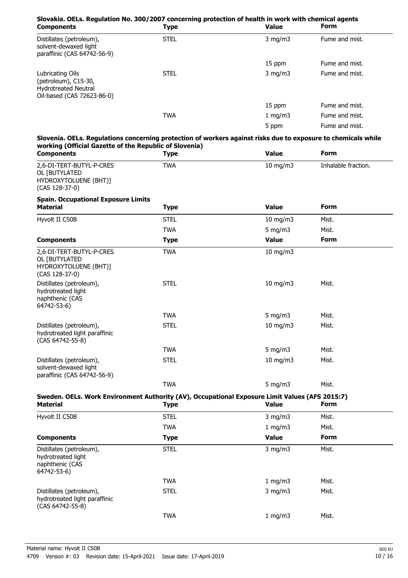| Slovakia. OELs. Regulation No. 300/2007 concerning protection of health in work with chemical agents<br><b>Components</b>                                               | <b>Type</b> | Value         | <b>Form</b>         |
|-------------------------------------------------------------------------------------------------------------------------------------------------------------------------|-------------|---------------|---------------------|
| Distillates (petroleum),<br>solvent-dewaxed light<br>paraffinic (CAS 64742-56-9)                                                                                        | <b>STEL</b> | $3$ mg/m $3$  | Fume and mist.      |
|                                                                                                                                                                         |             | 15 ppm        | Fume and mist.      |
| Lubricating Oils<br>(petroleum), C15-30,<br><b>Hydrotreated Neutral</b><br>Oil-based (CAS 72623-86-0)                                                                   | <b>STEL</b> | $3$ mg/m $3$  | Fume and mist.      |
|                                                                                                                                                                         |             | 15 ppm        | Fume and mist.      |
|                                                                                                                                                                         | <b>TWA</b>  | 1 mg/m3       | Fume and mist.      |
|                                                                                                                                                                         |             | 5 ppm         | Fume and mist.      |
| Slovenia. OELs. Regulations concerning protection of workers against risks due to exposure to chemicals while<br>working (Official Gazette of the Republic of Slovenia) |             |               |                     |
| <b>Components</b>                                                                                                                                                       | <b>Type</b> | <b>Value</b>  | <b>Form</b>         |
| 2,6-DI-TERT-BUTYL-P-CRES<br>OL [BUTYLATED<br>HYDROXYTOLUENE (BHT)]<br>(CAS 128-37-0)                                                                                    | <b>TWA</b>  | $10$ mg/m $3$ | Inhalable fraction. |
| <b>Spain. Occupational Exposure Limits</b><br><b>Material</b>                                                                                                           | <b>Type</b> | <b>Value</b>  | <b>Form</b>         |
| Hyvolt II C50B                                                                                                                                                          | <b>STEL</b> | 10 mg/m3      | Mist.               |
|                                                                                                                                                                         | <b>TWA</b>  | 5 mg/m $3$    | Mist.               |
| <b>Components</b>                                                                                                                                                       | <b>Type</b> | <b>Value</b>  | <b>Form</b>         |
| 2,6-DI-TERT-BUTYL-P-CRES<br>OL [BUTYLATED<br>HYDROXYTOLUENE (BHT)]<br>(CAS 128-37-0)                                                                                    | <b>TWA</b>  | $10$ mg/m $3$ |                     |
| Distillates (petroleum),<br>hydrotreated light<br>naphthenic (CAS<br>64742-53-6)                                                                                        | <b>STEL</b> | $10$ mg/m $3$ | Mist.               |
|                                                                                                                                                                         | <b>TWA</b>  | 5 mg/m $3$    | Mist.               |
| Distillates (petroleum),<br>hydrotreated light paraffinic<br>(CAS 64742-55-8)                                                                                           | <b>STEL</b> | 10 mg/m $3$   | Mist.               |
|                                                                                                                                                                         | <b>TWA</b>  | 5 mg/m $3$    | Mist.               |
| Distillates (petroleum),<br>solvent-dewaxed light<br>paraffinic (CAS 64742-56-9)                                                                                        | <b>STEL</b> | $10$ mg/m $3$ | Mist.               |
|                                                                                                                                                                         | <b>TWA</b>  | $5$ mg/m $3$  | Mist.               |
| Sweden. OELs. Work Environment Authority (AV), Occupational Exposure Limit Values (AFS 2015:7)<br><b>Material</b>                                                       | <b>Type</b> | <b>Value</b>  | <b>Form</b>         |
| Hyvolt II C50B                                                                                                                                                          | <b>STEL</b> | $3$ mg/m $3$  | Mist.               |
|                                                                                                                                                                         | <b>TWA</b>  | 1 mg/m3       | Mist.               |
| <b>Components</b>                                                                                                                                                       | <b>Type</b> | <b>Value</b>  | Form                |
| Distillates (petroleum),<br>hydrotreated light<br>naphthenic (CAS<br>64742-53-6)                                                                                        | <b>STEL</b> | $3$ mg/m $3$  | Mist.               |
|                                                                                                                                                                         | <b>TWA</b>  | 1 mg/m3       | Mist.               |
| Distillates (petroleum),<br>hydrotreated light paraffinic<br>(CAS 64742-55-8)                                                                                           | <b>STEL</b> | $3$ mg/m $3$  | Mist.               |
|                                                                                                                                                                         | <b>TWA</b>  | 1 mg/m3       | Mist.               |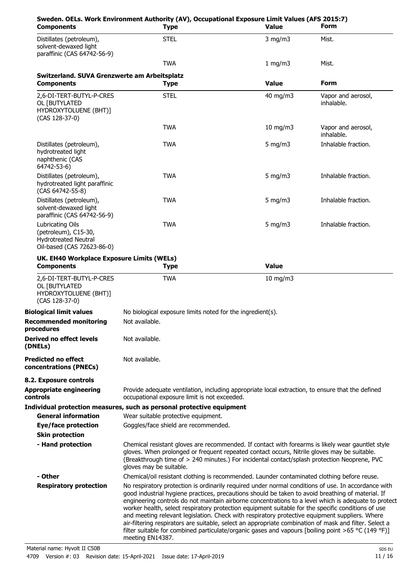| <b>Components</b>                                                                                     | <b>Type</b>                                                                                                                                                                                                                                                                                                                                                                                                                                                                                                                                                                                                                                                                                                                                                  | <b>Value</b>      | <b>Form</b>                      |
|-------------------------------------------------------------------------------------------------------|--------------------------------------------------------------------------------------------------------------------------------------------------------------------------------------------------------------------------------------------------------------------------------------------------------------------------------------------------------------------------------------------------------------------------------------------------------------------------------------------------------------------------------------------------------------------------------------------------------------------------------------------------------------------------------------------------------------------------------------------------------------|-------------------|----------------------------------|
| Distillates (petroleum),<br>solvent-dewaxed light<br>paraffinic (CAS 64742-56-9)                      | <b>STEL</b>                                                                                                                                                                                                                                                                                                                                                                                                                                                                                                                                                                                                                                                                                                                                                  | $3$ mg/m $3$      | Mist.                            |
|                                                                                                       | <b>TWA</b>                                                                                                                                                                                                                                                                                                                                                                                                                                                                                                                                                                                                                                                                                                                                                   | 1 mg/m3           | Mist.                            |
| Switzerland. SUVA Grenzwerte am Arbeitsplatz                                                          |                                                                                                                                                                                                                                                                                                                                                                                                                                                                                                                                                                                                                                                                                                                                                              |                   |                                  |
| <b>Components</b>                                                                                     | <b>Type</b>                                                                                                                                                                                                                                                                                                                                                                                                                                                                                                                                                                                                                                                                                                                                                  | <b>Value</b>      | <b>Form</b>                      |
| 2,6-DI-TERT-BUTYL-P-CRES<br>OL [BUTYLATED<br>HYDROXYTOLUENE (BHT)]<br>(CAS 128-37-0)                  | <b>STEL</b>                                                                                                                                                                                                                                                                                                                                                                                                                                                                                                                                                                                                                                                                                                                                                  | 40 mg/m3          | Vapor and aerosol,<br>inhalable. |
|                                                                                                       | <b>TWA</b>                                                                                                                                                                                                                                                                                                                                                                                                                                                                                                                                                                                                                                                                                                                                                   | $10$ mg/m $3$     | Vapor and aerosol,<br>inhalable. |
| Distillates (petroleum),<br>hydrotreated light<br>naphthenic (CAS<br>64742-53-6)                      | <b>TWA</b>                                                                                                                                                                                                                                                                                                                                                                                                                                                                                                                                                                                                                                                                                                                                                   | 5 mg/m $3$        | Inhalable fraction.              |
| Distillates (petroleum),<br>hydrotreated light paraffinic<br>(CAS 64742-55-8)                         | <b>TWA</b>                                                                                                                                                                                                                                                                                                                                                                                                                                                                                                                                                                                                                                                                                                                                                   | 5 mg/m $3$        | Inhalable fraction.              |
| Distillates (petroleum),<br>solvent-dewaxed light<br>paraffinic (CAS 64742-56-9)                      | <b>TWA</b>                                                                                                                                                                                                                                                                                                                                                                                                                                                                                                                                                                                                                                                                                                                                                   | 5 mg/m $3$        | Inhalable fraction.              |
| Lubricating Oils<br>(petroleum), C15-30,<br><b>Hydrotreated Neutral</b><br>Oil-based (CAS 72623-86-0) | <b>TWA</b>                                                                                                                                                                                                                                                                                                                                                                                                                                                                                                                                                                                                                                                                                                                                                   | 5 mg/m $3$        | Inhalable fraction.              |
| UK. EH40 Workplace Exposure Limits (WELs)                                                             |                                                                                                                                                                                                                                                                                                                                                                                                                                                                                                                                                                                                                                                                                                                                                              |                   |                                  |
| <b>Components</b>                                                                                     | <b>Type</b>                                                                                                                                                                                                                                                                                                                                                                                                                                                                                                                                                                                                                                                                                                                                                  | <b>Value</b>      |                                  |
| 2,6-DI-TERT-BUTYL-P-CRES<br>OL [BUTYLATED<br>HYDROXYTOLUENE (BHT)]<br>(CAS 128-37-0)                  | <b>TWA</b>                                                                                                                                                                                                                                                                                                                                                                                                                                                                                                                                                                                                                                                                                                                                                   | $10 \text{ mg/m}$ |                                  |
| <b>Biological limit values</b>                                                                        | No biological exposure limits noted for the ingredient(s).                                                                                                                                                                                                                                                                                                                                                                                                                                                                                                                                                                                                                                                                                                   |                   |                                  |
| <b>Recommended monitoring</b><br>procedures                                                           | Not available.                                                                                                                                                                                                                                                                                                                                                                                                                                                                                                                                                                                                                                                                                                                                               |                   |                                  |
| Derived no effect levels<br>(DNELs)                                                                   | Not available.                                                                                                                                                                                                                                                                                                                                                                                                                                                                                                                                                                                                                                                                                                                                               |                   |                                  |
| <b>Predicted no effect</b><br>concentrations (PNECs)                                                  | Not available.                                                                                                                                                                                                                                                                                                                                                                                                                                                                                                                                                                                                                                                                                                                                               |                   |                                  |
| 8.2. Exposure controls                                                                                |                                                                                                                                                                                                                                                                                                                                                                                                                                                                                                                                                                                                                                                                                                                                                              |                   |                                  |
| <b>Appropriate engineering</b><br>controls                                                            | Provide adequate ventilation, including appropriate local extraction, to ensure that the defined<br>occupational exposure limit is not exceeded.                                                                                                                                                                                                                                                                                                                                                                                                                                                                                                                                                                                                             |                   |                                  |
|                                                                                                       | Individual protection measures, such as personal protective equipment                                                                                                                                                                                                                                                                                                                                                                                                                                                                                                                                                                                                                                                                                        |                   |                                  |
| <b>General information</b>                                                                            | Wear suitable protective equipment.                                                                                                                                                                                                                                                                                                                                                                                                                                                                                                                                                                                                                                                                                                                          |                   |                                  |
| <b>Eye/face protection</b><br><b>Skin protection</b>                                                  | Goggles/face shield are recommended.                                                                                                                                                                                                                                                                                                                                                                                                                                                                                                                                                                                                                                                                                                                         |                   |                                  |
| - Hand protection                                                                                     | Chemical resistant gloves are recommended. If contact with forearms is likely wear gauntlet style                                                                                                                                                                                                                                                                                                                                                                                                                                                                                                                                                                                                                                                            |                   |                                  |
|                                                                                                       | gloves. When prolonged or frequent repeated contact occurs, Nitrile gloves may be suitable.<br>(Breakthrough time of > 240 minutes.) For incidental contact/splash protection Neoprene, PVC<br>gloves may be suitable.                                                                                                                                                                                                                                                                                                                                                                                                                                                                                                                                       |                   |                                  |
| - Other                                                                                               | Chemical/oil resistant clothing is recommended. Launder contaminated clothing before reuse.                                                                                                                                                                                                                                                                                                                                                                                                                                                                                                                                                                                                                                                                  |                   |                                  |
| <b>Respiratory protection</b>                                                                         | No respiratory protection is ordinarily required under normal conditions of use. In accordance with<br>good industrial hygiene practices, precautions should be taken to avoid breathing of material. If<br>engineering controls do not maintain airborne concentrations to a level which is adequate to protect<br>worker health, select respiratory protection equipment suitable for the specific conditions of use<br>and meeting relevant legislation. Check with respiratory protective equipment suppliers. Where<br>air-filtering respirators are suitable, select an appropriate combination of mask and filter. Select a<br>filter suitable for combined particulate/organic gases and vapours [boiling point >65 °C (149 °F)]<br>meeting EN14387. |                   |                                  |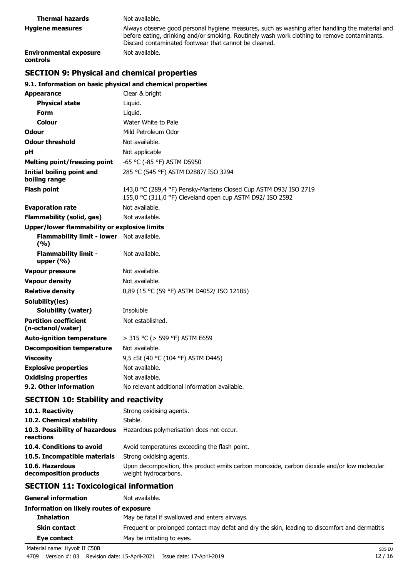| <b>Thermal hazards</b>                           | Not available.                                                                                                                                                                                                                                          |
|--------------------------------------------------|---------------------------------------------------------------------------------------------------------------------------------------------------------------------------------------------------------------------------------------------------------|
| <b>Hygiene measures</b>                          | Always observe good personal hygiene measures, such as washing after handling the material and<br>before eating, drinking and/or smoking. Routinely wash work clothing to remove contaminants.<br>Discard contaminated footwear that cannot be cleaned. |
| <b>Environmental exposure</b><br><b>controls</b> | Not available.                                                                                                                                                                                                                                          |

# **SECTION 9: Physical and chemical properties**

## **9.1. Information on basic physical and chemical properties**

| <b>Appearance</b>                                 | Clear & bright                                                                                                                |
|---------------------------------------------------|-------------------------------------------------------------------------------------------------------------------------------|
| <b>Physical state</b>                             | Liquid.                                                                                                                       |
| <b>Form</b>                                       | Liquid.                                                                                                                       |
| Colour                                            | Water White to Pale                                                                                                           |
| Odour                                             | Mild Petroleum Odor                                                                                                           |
| <b>Odour threshold</b>                            | Not available.                                                                                                                |
| рH                                                | Not applicable                                                                                                                |
| <b>Melting point/freezing point</b>               | -65 °C (-85 °F) ASTM D5950                                                                                                    |
| Initial boiling point and<br>boiling range        | 285 °C (545 °F) ASTM D2887/ ISO 3294                                                                                          |
| <b>Flash point</b>                                | 143,0 °C (289,4 °F) Pensky-Martens Closed Cup ASTM D93/ ISO 2719<br>155,0 °C (311,0 °F) Cleveland open cup ASTM D92/ ISO 2592 |
| <b>Evaporation rate</b>                           | Not available.                                                                                                                |
| Flammability (solid, gas)                         | Not available.                                                                                                                |
| Upper/lower flammability or explosive limits      |                                                                                                                               |
| <b>Flammability limit - lower</b><br>(%)          | Not available.                                                                                                                |
| <b>Flammability limit -</b><br>upper $(\% )$      | Not available.                                                                                                                |
| Vapour pressure                                   | Not available.                                                                                                                |
| <b>Vapour density</b>                             | Not available.                                                                                                                |
| <b>Relative density</b>                           | 0,89 (15 °C (59 °F) ASTM D4052/ ISO 12185)                                                                                    |
| Solubility(ies)                                   |                                                                                                                               |
| <b>Solubility (water)</b>                         | Insoluble                                                                                                                     |
| <b>Partition coefficient</b><br>(n-octanol/water) | Not established.                                                                                                              |
| <b>Auto-ignition temperature</b>                  | > 315 °C (> 599 °F) ASTM E659                                                                                                 |
| <b>Decomposition temperature</b>                  | Not available.                                                                                                                |
| <b>Viscosity</b>                                  | 9,5 cSt (40 °C (104 °F) ASTM D445)                                                                                            |
| <b>Explosive properties</b>                       | Not available.                                                                                                                |
| <b>Oxidising properties</b>                       | Not available.                                                                                                                |
| 9.2. Other information                            | No relevant additional information available.                                                                                 |

# **SECTION 10: Stability and reactivity**

| 10.1. Reactivity                            | Strong oxidising agents.                                                                                            |
|---------------------------------------------|---------------------------------------------------------------------------------------------------------------------|
| 10.2. Chemical stability                    | Stable.                                                                                                             |
| 10.3. Possibility of hazardous<br>reactions | Hazardous polymerisation does not occur.                                                                            |
| 10.4. Conditions to avoid                   | Avoid temperatures exceeding the flash point.                                                                       |
| 10.5. Incompatible materials                | Strong oxidising agents.                                                                                            |
| 10.6. Hazardous<br>decomposition products   | Upon decomposition, this product emits carbon monoxide, carbon dioxide and/or low molecular<br>weight hydrocarbons. |

# **SECTION 11: Toxicological information**

| <b>General information</b>                                                                                                           | Not available.                                                                                 |
|--------------------------------------------------------------------------------------------------------------------------------------|------------------------------------------------------------------------------------------------|
| Information on likely routes of exposure                                                                                             |                                                                                                |
| <b>Inhalation</b>                                                                                                                    | May be fatal if swallowed and enters airways.                                                  |
| <b>Skin contact</b>                                                                                                                  | Frequent or prolonged contact may defat and dry the skin, leading to discomfort and dermatitis |
| Eye contact                                                                                                                          | May be irritating to eyes.                                                                     |
| $\mathbf{M}$ , $\mathbf{M}$ , $\mathbf{M}$ , $\mathbf{M}$ , $\mathbf{M}$ , $\mathbf{M}$ , $\mathbf{M}$ , $\mathbf{M}$ , $\mathbf{M}$ |                                                                                                |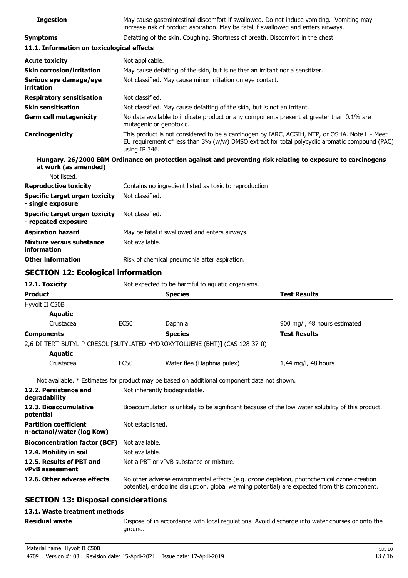| <b>Ingestion</b>                                             | May cause gastrointestinal discomfort if swallowed. Do not induce vomiting. Vomiting may<br>increase risk of product aspiration. May be fatal if swallowed and enters airways.                                    |                                                                                             |                                                                                                              |  |
|--------------------------------------------------------------|-------------------------------------------------------------------------------------------------------------------------------------------------------------------------------------------------------------------|---------------------------------------------------------------------------------------------|--------------------------------------------------------------------------------------------------------------|--|
| <b>Symptoms</b>                                              |                                                                                                                                                                                                                   | Defatting of the skin. Coughing. Shortness of breath. Discomfort in the chest               |                                                                                                              |  |
| 11.1. Information on toxicological effects                   |                                                                                                                                                                                                                   |                                                                                             |                                                                                                              |  |
| <b>Acute toxicity</b>                                        | Not applicable.                                                                                                                                                                                                   |                                                                                             |                                                                                                              |  |
| <b>Skin corrosion/irritation</b>                             | May cause defatting of the skin, but is neither an irritant nor a sensitizer.                                                                                                                                     |                                                                                             |                                                                                                              |  |
| Serious eye damage/eye<br>irritation                         | Not classified. May cause minor irritation on eye contact.                                                                                                                                                        |                                                                                             |                                                                                                              |  |
| <b>Respiratory sensitisation</b>                             | Not classified.                                                                                                                                                                                                   |                                                                                             |                                                                                                              |  |
| <b>Skin sensitisation</b>                                    | Not classified. May cause defatting of the skin, but is not an irritant.                                                                                                                                          |                                                                                             |                                                                                                              |  |
| <b>Germ cell mutagenicity</b>                                | No data available to indicate product or any components present at greater than 0.1% are<br>mutagenic or genotoxic.                                                                                               |                                                                                             |                                                                                                              |  |
| Carcinogenicity                                              | This product is not considered to be a carcinogen by IARC, ACGIH, NTP, or OSHA. Note L - Meets<br>EU requirement of less than 3% (w/w) DMSO extract for total polycyclic aromatic compound (PAC)<br>using IP 346. |                                                                                             |                                                                                                              |  |
| at work (as amended)                                         |                                                                                                                                                                                                                   |                                                                                             | Hungary. 26/2000 EüM Ordinance on protection against and preventing risk relating to exposure to carcinogens |  |
| Not listed.                                                  |                                                                                                                                                                                                                   |                                                                                             |                                                                                                              |  |
| <b>Reproductive toxicity</b>                                 |                                                                                                                                                                                                                   | Contains no ingredient listed as toxic to reproduction                                      |                                                                                                              |  |
| Specific target organ toxicity<br>- single exposure          | Not classified.                                                                                                                                                                                                   |                                                                                             |                                                                                                              |  |
| <b>Specific target organ toxicity</b><br>- repeated exposure | Not classified.                                                                                                                                                                                                   |                                                                                             |                                                                                                              |  |
| <b>Aspiration hazard</b>                                     |                                                                                                                                                                                                                   | May be fatal if swallowed and enters airways.                                               |                                                                                                              |  |
| Mixture versus substance<br><b>information</b>               | Not available.                                                                                                                                                                                                    |                                                                                             |                                                                                                              |  |
| <b>Other information</b>                                     |                                                                                                                                                                                                                   | Risk of chemical pneumonia after aspiration.                                                |                                                                                                              |  |
| <b>SECTION 12: Ecological information</b>                    |                                                                                                                                                                                                                   |                                                                                             |                                                                                                              |  |
| 12.1. Toxicity                                               |                                                                                                                                                                                                                   | Not expected to be harmful to aquatic organisms.                                            |                                                                                                              |  |
| <b>Product</b>                                               |                                                                                                                                                                                                                   | <b>Species</b>                                                                              | <b>Test Results</b>                                                                                          |  |
| Hyvolt II C50B                                               |                                                                                                                                                                                                                   |                                                                                             |                                                                                                              |  |
| <b>Aquatic</b>                                               |                                                                                                                                                                                                                   |                                                                                             |                                                                                                              |  |
| Crustacea                                                    | <b>EC50</b>                                                                                                                                                                                                       | Daphnia                                                                                     | 900 mg/l, 48 hours estimated                                                                                 |  |
| <b>Components</b>                                            |                                                                                                                                                                                                                   | <b>Species</b>                                                                              | <b>Test Results</b>                                                                                          |  |
|                                                              |                                                                                                                                                                                                                   | 2,6-DI-TERT-BUTYL-P-CRESOL [BUTYLATED HYDROXYTOLUENE (BHT)] (CAS 128-37-0)                  |                                                                                                              |  |
| <b>Aquatic</b>                                               |                                                                                                                                                                                                                   |                                                                                             |                                                                                                              |  |
| Crustacea                                                    | <b>EC50</b>                                                                                                                                                                                                       | Water flea (Daphnia pulex)                                                                  | 1,44 mg/l, 48 hours                                                                                          |  |
|                                                              |                                                                                                                                                                                                                   | Not available. * Estimates for product may be based on additional component data not shown. |                                                                                                              |  |
| 12.2. Persistence and<br>degradability                       |                                                                                                                                                                                                                   | Not inherently biodegradable.                                                               |                                                                                                              |  |
| 12.3. Bioaccumulative<br>potential                           | Bioaccumulation is unlikely to be significant because of the low water solubility of this product.                                                                                                                |                                                                                             |                                                                                                              |  |
| <b>Partition coefficient</b><br>n-octanol/water (log Kow)    | Not established.                                                                                                                                                                                                  |                                                                                             |                                                                                                              |  |
| <b>Bioconcentration factor (BCF)</b>                         | Not available.                                                                                                                                                                                                    |                                                                                             |                                                                                                              |  |
| 12.4. Mobility in soil                                       | Not available.                                                                                                                                                                                                    |                                                                                             |                                                                                                              |  |
| 12.5. Results of PBT and<br><b>vPvB assessment</b>           | Not a PBT or vPvB substance or mixture.                                                                                                                                                                           |                                                                                             |                                                                                                              |  |
| 12.6. Other adverse effects                                  | No other adverse environmental effects (e.g. ozone depletion, photochemical ozone creation<br>potential, endocrine disruption, global warming potential) are expected from this component.                        |                                                                                             |                                                                                                              |  |
| <b>SECTION 13: Disposal considerations</b>                   |                                                                                                                                                                                                                   |                                                                                             |                                                                                                              |  |
|                                                              |                                                                                                                                                                                                                   |                                                                                             |                                                                                                              |  |

### **13.1. Waste treatment methods**

**Residual waste**

Dispose of in accordance with local regulations. Avoid discharge into water courses or onto the ground.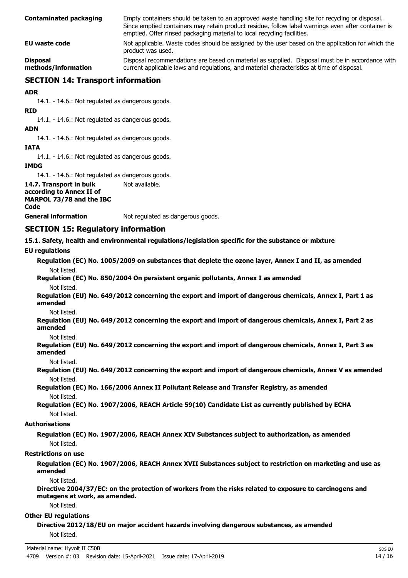| <b>Contaminated packaging</b>          | Empty containers should be taken to an approved waste handling site for recycling or disposal.<br>Since emptied containers may retain product residue, follow label warnings even after container is<br>emptied. Offer rinsed packaging material to local recycling facilities. |  |
|----------------------------------------|---------------------------------------------------------------------------------------------------------------------------------------------------------------------------------------------------------------------------------------------------------------------------------|--|
| EU waste code                          | Not applicable. Waste codes should be assigned by the user based on the application for which the<br>product was used.                                                                                                                                                          |  |
| <b>Disposal</b><br>methods/information | Disposal recommendations are based on material as supplied. Disposal must be in accordance with<br>current applicable laws and regulations, and material characteristics at time of disposal.                                                                                   |  |

# **SECTION 14: Transport information**

### **ADR**

14.1. - 14.6.: Not regulated as dangerous goods.

### **RID**

14.1. - 14.6.: Not regulated as dangerous goods.

### **ADN**

14.1. - 14.6.: Not regulated as dangerous goods.

### **IATA**

14.1. - 14.6.: Not regulated as dangerous goods.

**IMDG**

14.1. - 14.6.: Not regulated as dangerous goods.

**14.7. Transport in bulk** Not available. **according to Annex II of MARPOL 73/78 and the IBC Code General information** Not regulated as dangerous goods.

## **SECTION 15: Regulatory information**

**15.1. Safety, health and environmental regulations/legislation specific for the substance or mixture**

### **EU regulations**

**Regulation (EC) No. 1005/2009 on substances that deplete the ozone layer, Annex I and II, as amended** Not listed.

**Regulation (EC) No. 850/2004 On persistent organic pollutants, Annex I as amended** Not listed.

**Regulation (EU) No. 649/2012 concerning the export and import of dangerous chemicals, Annex I, Part 1 as amended**

Not listed.

**Regulation (EU) No. 649/2012 concerning the export and import of dangerous chemicals, Annex I, Part 2 as amended**

Not listed.

**Regulation (EU) No. 649/2012 concerning the export and import of dangerous chemicals, Annex I, Part 3 as amended**

Not listed.

**Regulation (EU) No. 649/2012 concerning the export and import of dangerous chemicals, Annex V as amended** Not listed.

**Regulation (EC) No. 166/2006 Annex II Pollutant Release and Transfer Registry, as amended** Not listed.

**Regulation (EC) No. 1907/2006, REACH Article 59(10) Candidate List as currently published by ECHA** Not listed.

### **Authorisations**

**Regulation (EC) No. 1907/2006, REACH Annex XIV Substances subject to authorization, as amended** Not listed.

### **Restrictions on use**

**Regulation (EC) No. 1907/2006, REACH Annex XVII Substances subject to restriction on marketing and use as amended**

Not listed.

**Directive 2004/37/EC: on the protection of workers from the risks related to exposure to carcinogens and mutagens at work, as amended.**

Not listed.

### **Other EU regulations**

**Directive 2012/18/EU on major accident hazards involving dangerous substances, as amended** Not listed.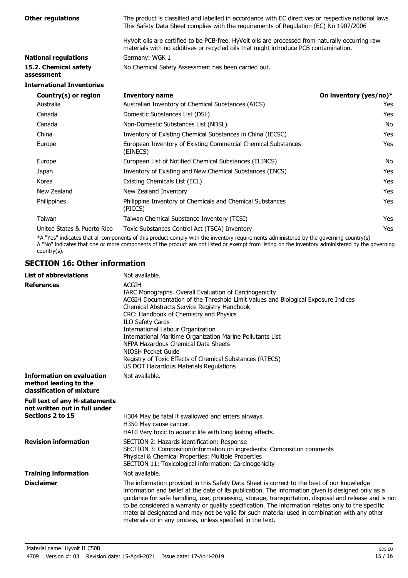| <b>Other regulations</b>            | The product is classified and labelled in accordance with EC directives or respective national laws<br>This Safety Data Sheet complies with the requirements of Regulation (EC) No 1907/2006 |                        |  |
|-------------------------------------|----------------------------------------------------------------------------------------------------------------------------------------------------------------------------------------------|------------------------|--|
|                                     | HyVolt oils are certified to be PCB-free. HyVolt oils are processed from naturally occurring raw<br>materials with no additives or recycled oils that might introduce PCB contamination.     |                        |  |
| <b>National regulations</b>         | Germany: WGK 1                                                                                                                                                                               |                        |  |
| 15.2. Chemical safety<br>assessment | No Chemical Safety Assessment has been carried out.                                                                                                                                          |                        |  |
| <b>International Inventories</b>    |                                                                                                                                                                                              |                        |  |
| Country(s) or region                | <b>Inventory name</b>                                                                                                                                                                        | On inventory (yes/no)* |  |
| Australia                           | Australian Inventory of Chemical Substances (AICS)                                                                                                                                           | Yes                    |  |
| Canada                              | Domestic Substances List (DSL)                                                                                                                                                               | <b>Yes</b>             |  |
| Canada                              | Non-Domestic Substances List (NDSL)                                                                                                                                                          | No                     |  |
| China                               | Inventory of Existing Chemical Substances in China (IECSC)                                                                                                                                   | Yes                    |  |
| Europe                              | European Inventory of Existing Commercial Chemical Substances<br>(EINECS)                                                                                                                    | <b>Yes</b>             |  |
| Europe                              | European List of Notified Chemical Substances (ELINCS)                                                                                                                                       | No                     |  |
| Japan                               | Inventory of Existing and New Chemical Substances (ENCS)                                                                                                                                     | <b>Yes</b>             |  |
| Korea                               | Existing Chemicals List (ECL)                                                                                                                                                                | Yes                    |  |
| New Zealand                         | New Zealand Inventory                                                                                                                                                                        | <b>Yes</b>             |  |
| Philippines                         | Philippine Inventory of Chemicals and Chemical Substances<br>(PICCS)                                                                                                                         | <b>Yes</b>             |  |
| Taiwan                              | Taiwan Chemical Substance Inventory (TCSI)                                                                                                                                                   | <b>Yes</b>             |  |
| United States & Puerto Rico         | Toxic Substances Control Act (TSCA) Inventory                                                                                                                                                | Yes                    |  |

\*A "Yes" indicates that all components of this product comply with the inventory requirements administered by the governing country(s)

A "No" indicates that one or more components of the product are not listed or exempt from listing on the inventory administered by the governing country(s).

# **SECTION 16: Other information**

| <b>List of abbreviations</b>                                                           | Not available.                                                                                                                                                                                                                                                                                                                                                                                                                                                                                                                                                                 |
|----------------------------------------------------------------------------------------|--------------------------------------------------------------------------------------------------------------------------------------------------------------------------------------------------------------------------------------------------------------------------------------------------------------------------------------------------------------------------------------------------------------------------------------------------------------------------------------------------------------------------------------------------------------------------------|
| <b>References</b>                                                                      | <b>ACGIH</b><br>IARC Monographs. Overall Evaluation of Carcinogenicity<br>ACGIH Documentation of the Threshold Limit Values and Biological Exposure Indices<br>Chemical Abstracts Service Registry Handbook<br>CRC: Handbook of Chemistry and Physics<br><b>ILO Safety Cards</b><br>International Labour Organization<br>International Maritime Organization Marine Pollutants List<br>NFPA Hazardous Chemical Data Sheets<br>NIOSH Pocket Guide<br>Registry of Toxic Effects of Chemical Substances (RTECS)<br>US DOT Hazardous Materials Regulations                         |
| <b>Information on evaluation</b><br>method leading to the<br>classification of mixture | Not available.                                                                                                                                                                                                                                                                                                                                                                                                                                                                                                                                                                 |
| <b>Full text of any H-statements</b><br>not written out in full under                  |                                                                                                                                                                                                                                                                                                                                                                                                                                                                                                                                                                                |
| Sections 2 to 15                                                                       | H304 May be fatal if swallowed and enters airways.<br>H350 May cause cancer.<br>H410 Very toxic to aquatic life with long lasting effects.                                                                                                                                                                                                                                                                                                                                                                                                                                     |
| <b>Revision information</b>                                                            | SECTION 2: Hazards identification: Response<br>SECTION 3: Composition/information on ingredients: Composition comments<br>Physical & Chemical Properties: Multiple Properties<br>SECTION 11: Toxicological information: Carcinogenicity                                                                                                                                                                                                                                                                                                                                        |
| <b>Training information</b>                                                            | Not available.                                                                                                                                                                                                                                                                                                                                                                                                                                                                                                                                                                 |
| <b>Disclaimer</b>                                                                      | The information provided in this Safety Data Sheet is correct to the best of our knowledge<br>information and belief at the date of its publication. The information given is designed only as a<br>guidance for safe handling, use, processing, storage, transportation, disposal and release and is not<br>to be considered a warranty or quality specification. The information relates only to the specific<br>material designated and may not be valid for such material used in combination with any other<br>materials or in any process, unless specified in the text. |